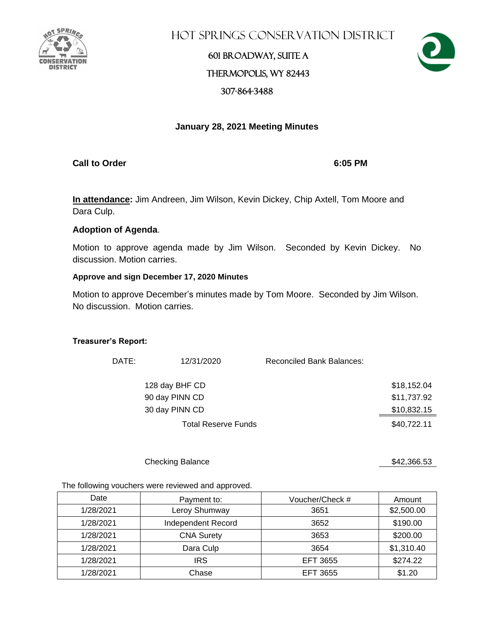

Hot Springs Conservation District

### 601 Broadway, Suite A Thermopolis, WY 82443 307-864-3488



### **January 28, 2021 Meeting Minutes**

**Call to Order 6:05 PM**

**In attendance:** Jim Andreen, Jim Wilson, Kevin Dickey, Chip Axtell, Tom Moore and Dara Culp.

#### **Adoption of Agenda**.

Motion to approve agenda made by Jim Wilson. Seconded by Kevin Dickey. No discussion. Motion carries.

#### **Approve and sign December 17, 2020 Minutes**

Motion to approve December's minutes made by Tom Moore. Seconded by Jim Wilson. No discussion. Motion carries.

#### **Treasurer's Report:**

| DATE: | 12/31/2020                 | <b>Reconciled Bank Balances:</b> |             |
|-------|----------------------------|----------------------------------|-------------|
|       | 128 day BHF CD             |                                  | \$18,152.04 |
|       | 90 day PINN CD             |                                  | \$11,737.92 |
|       | 30 day PINN CD             |                                  | \$10,832.15 |
|       | <b>Total Reserve Funds</b> |                                  | \$40,722.11 |

Checking Balance \$42,366.53

The following vouchers were reviewed and approved.

| Date      | Payment to:        | Voucher/Check # | Amount     |
|-----------|--------------------|-----------------|------------|
| 1/28/2021 | Leroy Shumway      | 3651            | \$2,500.00 |
| 1/28/2021 | Independent Record | 3652            | \$190.00   |
| 1/28/2021 | <b>CNA Surety</b>  | 3653            | \$200.00   |
| 1/28/2021 | Dara Culp          | 3654            | \$1,310.40 |
| 1/28/2021 | <b>IRS</b>         | EFT 3655        | \$274.22   |
| 1/28/2021 | Chase              | <b>EFT 3655</b> | \$1.20     |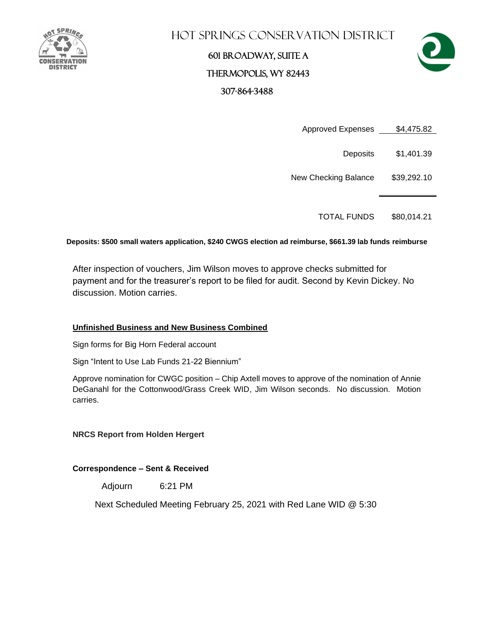

### **HOT SPRINGS CONSERVATION DISTRICT**

## 601 Broadway, Suite A Thermopolis, WY 82443 307-864-3488



Approved Expenses \$4,475.82

Deposits \$1,401.39

New Checking Balance \$39,292.10

TOTAL FUNDS \$80,014.21

**Deposits: \$500 small waters application, \$240 CWGS election ad reimburse, \$661.39 lab funds reimburse**

After inspection of vouchers, Jim Wilson moves to approve checks submitted for payment and for the treasurer's report to be filed for audit. Second by Kevin Dickey. No discussion. Motion carries.

#### **Unfinished Business and New Business Combined**

Sign forms for Big Horn Federal account

Sign "Intent to Use Lab Funds 21-22 Biennium"

Approve nomination for CWGC position – Chip Axtell moves to approve of the nomination of Annie DeGanahl for the Cottonwood/Grass Creek WID, Jim Wilson seconds. No discussion. Motion carries.

**NRCS Report from Holden Hergert**

**Correspondence – Sent & Received** 

Adjourn 6:21 PM

Next Scheduled Meeting February 25, 2021 with Red Lane WID @ 5:30